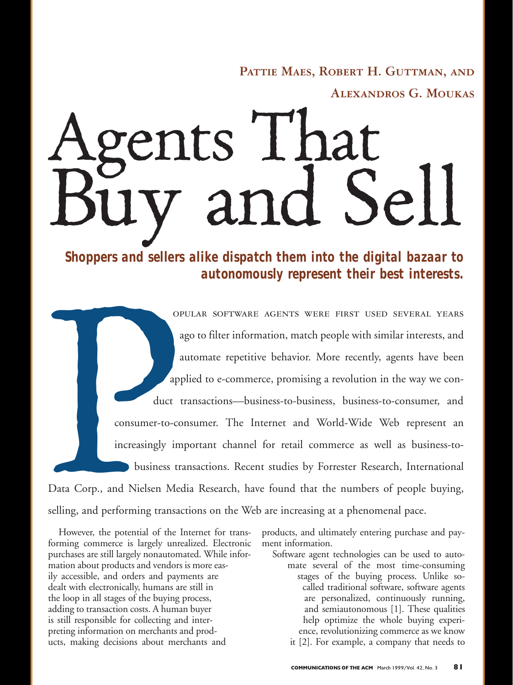PATTIE MAES, ROBERT H. GUTTMAN, AND

**Alexandros G. Moukas**

# ents That Buy and Sell

*Shoppers and sellers alike dispatch them into the digital bazaar to autonomously represent their best interests.*

OP<br>
a<sub>d</sub><br>
an<br>
app<br>
duct tr<br>
consumer-to-cor<br>
increasingly imp<br>
business tra<br>
Data Corp., and Nielsen Med<br>
selling, and performing transac opular software agents were first used several years ago to filter information, match people with similar interests, and automate repetitive behavior. More recently, agents have been applied to e-commerce, promising a revolution in the way we conduct transactions—business-to-business, business-to-consumer, and consumer-to-consumer. The Internet and World-Wide Web represent an increasingly important channel for retail commerce as well as business-tobusiness transactions. Recent studies by Forrester Research, International Data Corp., and Nielsen Media Research, have found that the numbers of people buying, selling, and performing transactions on the Web are increasing at a phenomenal pace.

However, the potential of the Internet for transforming commerce is largely unrealized. Electronic purchases are still largely nonautomated. While information about products and vendors is more easily accessible, and orders and payments are dealt with electronically, humans are still in the loop in all stages of the buying process, adding to transaction costs. A human buyer is still responsible for collecting and interpreting information on merchants and products, making decisions about merchants and

products, and ultimately entering purchase and payment information.

Software agent technologies can be used to automate several of the most time-consuming stages of the buying process. Unlike socalled traditional software, software agents are personalized, continuously running, and semiautonomous [1]. These qualities help optimize the whole buying experience, revolutionizing commerce as we know it [2]. For example, a company that needs to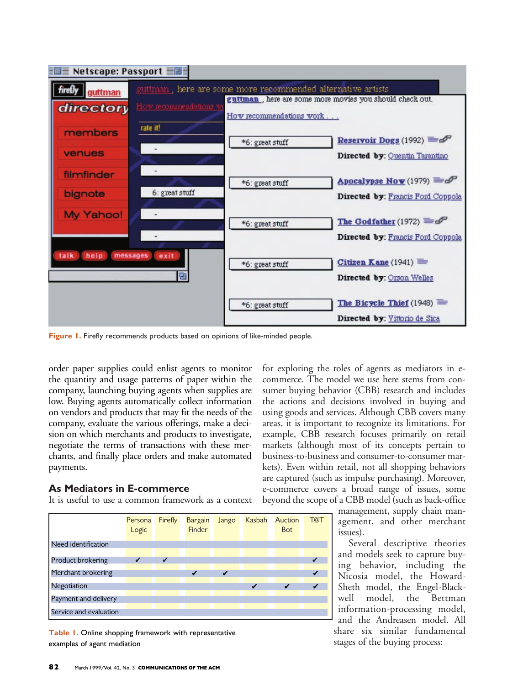

**Figure 1.** Firefly recommends products based on opinions of like-minded people.

order paper supplies could enlist agents to monitor the quantity and usage patterns of paper within the company, launching buying agents when supplies are low. Buying agents automatically collect information on vendors and products that may fit the needs of the company, evaluate the various offerings, make a decision on which merchants and products to investigate, negotiate the terms of transactions with these merchants, and finally place orders and make automated payments.

# **As Mediators in E-commerce**

It is useful to use a common framework as a context



**Table 1.** Online shopping framework with representative examples of agent mediation

for exploring the roles of agents as mediators in ecommerce. The model we use here stems from consumer buying behavior (CBB) research and includes the actions and decisions involved in buying and using goods and services. Although CBB covers many areas, it is important to recognize its limitations. For example, CBB research focuses primarily on retail markets (although most of its concepts pertain to business-to-business and consumer-to-consumer markets). Even within retail, not all shopping behaviors are captured (such as impulse purchasing). Moreover, e-commerce covers a broad range of issues, some beyond the scope of a CBB model (such as back-office

> management, supply chain management, and other merchant issues).

Several descriptive theories and models seek to capture buying behavior, including the Nicosia model, the Howard-Sheth model, the Engel-Blackwell model, the Bettman information-processing model, and the Andreasen model. All share six similar fundamental stages of the buying process: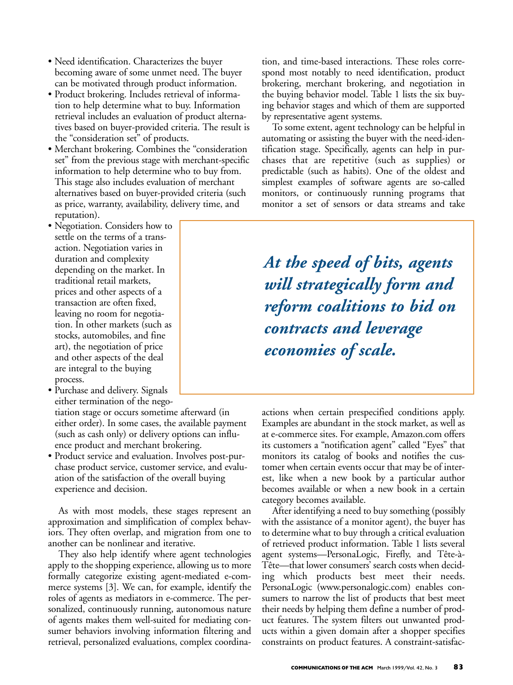- Need identification. Characterizes the buyer becoming aware of some unmet need. The buyer can be motivated through product information.
- Product brokering. Includes retrieval of information to help determine what to buy. Information retrieval includes an evaluation of product alternatives based on buyer-provided criteria. The result is the "consideration set" of products.
- Merchant brokering. Combines the "consideration set" from the previous stage with merchant-specific information to help determine who to buy from. This stage also includes evaluation of merchant alternatives based on buyer-provided criteria (such as price, warranty, availability, delivery time, and reputation).
- Negotiation. Considers how to settle on the terms of a transaction. Negotiation varies in duration and complexity depending on the market. In traditional retail markets, prices and other aspects of a transaction are often fixed, leaving no room for negotiation. In other markets (such as stocks, automobiles, and fine art), the negotiation of price and other aspects of the deal are integral to the buying process.
- Purchase and delivery. Signals either termination of the nego-

tiation stage or occurs sometime afterward (in either order). In some cases, the available payment (such as cash only) or delivery options can influence product and merchant brokering.

• Product service and evaluation. Involves post-purchase product service, customer service, and evaluation of the satisfaction of the overall buying experience and decision.

As with most models, these stages represent an approximation and simplification of complex behaviors. They often overlap, and migration from one to another can be nonlinear and iterative.

They also help identify where agent technologies apply to the shopping experience, allowing us to more formally categorize existing agent-mediated e-commerce systems [3]. We can, for example, identify the roles of agents as mediators in e-commerce. The personalized, continuously running, autonomous nature of agents makes them well-suited for mediating consumer behaviors involving information filtering and retrieval, personalized evaluations, complex coordination, and time-based interactions. These roles correspond most notably to need identification, product brokering, merchant brokering, and negotiation in the buying behavior model. Table 1 lists the six buying behavior stages and which of them are supported by representative agent systems.

To some extent, agent technology can be helpful in automating or assisting the buyer with the need-identification stage. Specifically, agents can help in purchases that are repetitive (such as supplies) or predictable (such as habits). One of the oldest and simplest examples of software agents are so-called monitors, or continuously running programs that monitor a set of sensors or data streams and take

*At the speed of bits, agents will strategically form and reform coalitions to bid on contracts and leverage economies of scale.*

actions when certain prespecified conditions apply. Examples are abundant in the stock market, as well as at e-commerce sites. For example, Amazon.com offers its customers a "notification agent" called "Eyes" that monitors its catalog of books and notifies the customer when certain events occur that may be of interest, like when a new book by a particular author becomes available or when a new book in a certain category becomes available.

After identifying a need to buy something (possibly with the assistance of a monitor agent), the buyer has to determine what to buy through a critical evaluation of retrieved product information. Table 1 lists several agent systems—PersonaLogic, Firefly, and Tête-à-Tête—that lower consumers' search costs when deciding which products best meet their needs. PersonaLogic (www.personalogic.com) enables consumers to narrow the list of products that best meet their needs by helping them define a number of product features. The system filters out unwanted products within a given domain after a shopper specifies constraints on product features. A constraint-satisfac-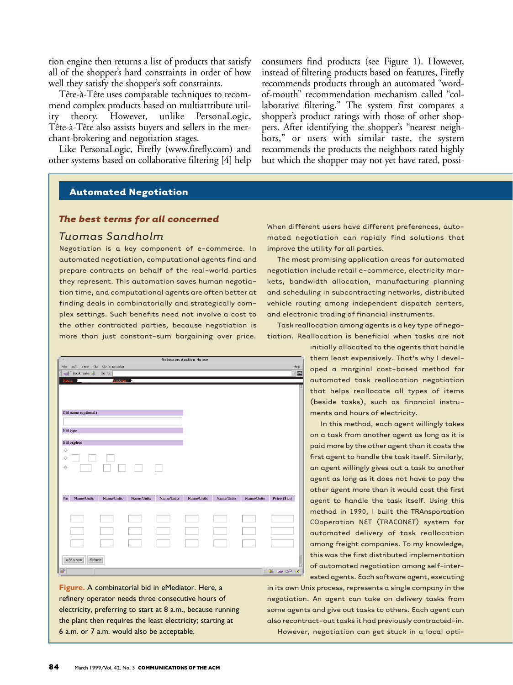tion engine then returns a list of products that satisfy all of the shopper's hard constraints in order of how well they satisfy the shopper's soft constraints.

Tête-à-Tête uses comparable techniques to recommend complex products based on multiattribute utility theory. However, unlike PersonaLogic, Tête-à-Tête also assists buyers and sellers in the merchant-brokering and negotiation stages.

Like PersonaLogic, Firefly (www.firefly.com) and other systems based on collaborative filtering [4] help consumers find products (see Figure 1). However, instead of filtering products based on features, Firefly recommends products through an automated "wordof-mouth" recommendation mechanism called "collaborative filtering." The system first compares a shopper's product ratings with those of other shoppers. After identifying the shopper's "nearest neighbors," or users with similar taste, the system recommends the products the neighbors rated highly but which the shopper may not yet have rated, possi-

# **Automated Negotiation**

#### *The best terms for all concerned*

#### *Tuomas Sandholm*

Negotiation is a key component of e-commerce. In automated negotiation, computational agents find and prepare contracts on behalf of the real-world parties they represent. This automation saves human negotiation time, and computational agents are often better at finding deals in combinatorially and strategically complex settings. Such benefits need not involve a cost to the other contracted parties, because negotiation is more than just constant-sum bargaining over price.

|                                |                           |            |            | <b>Netscape: Auction House</b> |            |            |               |
|--------------------------------|---------------------------|------------|------------|--------------------------------|------------|------------|---------------|
| Edit View<br>File<br>Bookmarks | Go Communicator<br>Go To: |            |            |                                |            |            | Help<br>N     |
| Home<br>г                      | Auctions                  | с          |            |                                |            |            |               |
|                                |                           |            |            |                                |            |            |               |
|                                |                           |            |            |                                |            |            |               |
|                                |                           |            |            |                                |            |            |               |
| Bid name (optional)            |                           |            |            |                                |            |            |               |
|                                |                           |            |            |                                |            |            |               |
| <b>Bid type</b>                |                           |            |            |                                |            |            |               |
|                                |                           |            |            |                                |            |            |               |
| <b>Bid expires</b>             |                           |            |            |                                |            |            |               |
| ♦                              |                           |            |            |                                |            |            |               |
| ◇                              |                           |            |            |                                |            |            |               |
| ۵                              |                           |            |            |                                |            |            |               |
|                                |                           |            |            |                                |            |            |               |
|                                |                           |            |            |                                |            |            |               |
|                                |                           |            |            |                                |            |            |               |
| Name/Units<br>No               | Name/Units                | Name/Units | Name/Units | Name/Units                     | Name/Units | Name/Units | Price (\$ in) |
|                                |                           |            |            |                                |            |            |               |
|                                |                           |            |            |                                |            |            |               |
|                                |                           |            |            |                                |            |            |               |
|                                |                           |            |            |                                |            |            |               |
|                                |                           |            |            |                                |            |            |               |
|                                |                           |            |            |                                |            |            |               |
|                                |                           |            |            |                                |            |            |               |
|                                |                           |            |            |                                |            |            |               |
| Add a row<br>Submit<br>ď       |                           |            |            |                                |            |            | 张 四 50 亿      |

**Figure.** A combinatorial bid in eMediator. Here, a refinery operator needs three consecutive hours of electricity, preferring to start at 8 a.m., because running the plant then requires the least electricity; starting at 6 a.m. or 7 a.m. would also be acceptable.

When different users have different preferences, automated negotiation can rapidly find solutions that improve the utility for all parties.

The most promising application areas for automated negotiation include retail e-commerce, electricity markets, bandwidth allocation, manufacturing planning and scheduling in subcontracting networks, distributed vehicle routing among independent dispatch centers, and electronic trading of financial instruments.

Task reallocation among agents is a key type of negotiation. Reallocation is beneficial when tasks are not

> initially allocated to the agents that handle them least expensively. That's why I developed a marginal cost-based method for automated task reallocation negotiation that helps reallocate all types of items (beside tasks), such as financial instruments and hours of electricity.

> In this method, each agent willingly takes on a task from another agent as long as it is paid more by the other agent than it costs the first agent to handle the task itself. Similarly, an agent willingly gives out a task to another agent as long as it does not have to pay the other agent more than it would cost the first agent to handle the task itself. Using this method in 1990, I built the TRAnsportation COoperation NET (TRACONET) system for automated delivery of task reallocation among freight companies. To my knowledge, this was the first distributed implementation of automated negotiation among self-interested agents. Each software agent, executing

in its own Unix process, represents a single company in the negotiation. An agent can take on delivery tasks from some agents and give out tasks to others. Each agent can also recontract-out tasks it had previously contracted-in. However, negotiation can get stuck in a local opti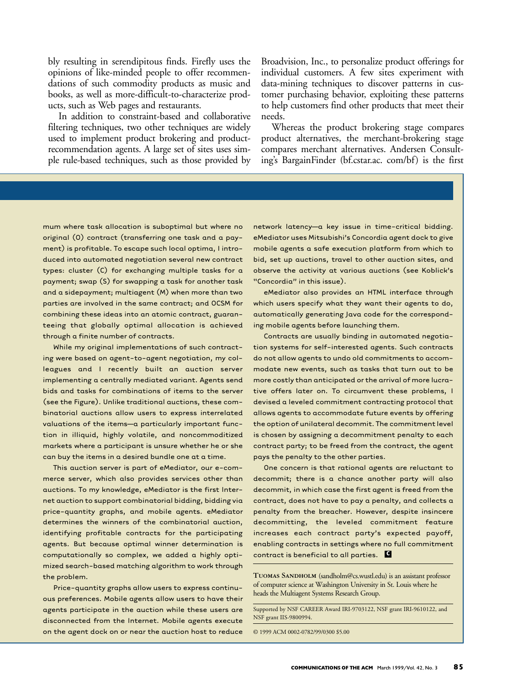bly resulting in serendipitous finds. Firefly uses the opinions of like-minded people to offer recommendations of such commodity products as music and books, as well as more-difficult-to-characterize products, such as Web pages and restaurants.

In addition to constraint-based and collaborative filtering techniques, two other techniques are widely used to implement product brokering and productrecommendation agents. A large set of sites uses simple rule-based techniques, such as those provided by

Broadvision, Inc., to personalize product offerings for individual customers. A few sites experiment with data-mining techniques to discover patterns in customer purchasing behavior, exploiting these patterns to help customers find other products that meet their needs.

Whereas the product brokering stage compares product alternatives, the merchant-brokering stage compares merchant alternatives. Andersen Consulting's BargainFinder (bf.cstar.ac. com/bf) is the first

mum where task allocation is suboptimal but where no original (O) contract (transferring one task and a payment) is profitable. To escape such local optima, I introduced into automated negotiation several new contract types: cluster (C) for exchanging multiple tasks for a payment; swap (S) for swapping a task for another task and a sidepayment; multiagent (M) when more than two parties are involved in the same contract; and OCSM for combining these ideas into an atomic contract, guaranteeing that globally optimal allocation is achieved through a finite number of contracts.

While my original implementations of such contracting were based on agent-to-agent negotiation, my colleagues and I recently built an auction server implementing a centrally mediated variant. Agents send bids and tasks for combinations of items to the server (see the Figure). Unlike traditional auctions, these combinatorial auctions allow users to express interrelated valuations of the items—a particularly important function in illiquid, highly volatile, and noncommoditized markets where a participant is unsure whether he or she can buy the items in a desired bundle one at a time.

This auction server is part of eMediator, our e-commerce server, which also provides services other than auctions. To my knowledge, eMediator is the first Internet auction to support combinatorial bidding, bidding via price-quantity graphs, and mobile agents. eMediator determines the winners of the combinatorial auction, identifying profitable contracts for the participating agents. But because optimal winner determination is computationally so complex, we added a highly optimized search-based matching algorithm to work through the problem.

Price-quantity graphs allow users to express continuous preferences. Mobile agents allow users to have their agents participate in the auction while these users are disconnected from the Internet. Mobile agents execute on the agent dock on or near the auction host to reduce

network latency—a key issue in time-critical bidding. eMediator uses Mitsubishi's Concordia agent dock to give mobile agents a safe execution platform from which to bid, set up auctions, travel to other auction sites, and observe the activity at various auctions (see Koblick's "Concordia" in this issue).

eMediator also provides an HTML interface through which users specify what they want their agents to do, automatically generating Java code for the corresponding mobile agents before launching them.

Contracts are usually binding in automated negotiation systems for self-interested agents. Such contracts do not allow agents to undo old commitments to accommodate new events, such as tasks that turn out to be more costly than anticipated or the arrival of more lucrative offers later on. To circumvent these problems, I devised a leveled commitment contracting protocol that allows agents to accommodate future events by offering the option of unilateral decommit. The commitment level is chosen by assigning a decommitment penalty to each contract party; to be freed from the contract, the agent pays the penalty to the other parties.

One concern is that rational agents are reluctant to decommit; there is a chance another party will also decommit, in which case the first agent is freed from the contract, does not have to pay a penalty, and collects a penalty from the breacher. However, despite insincere decommitting, the leveled commitment feature increases each contract party's expected payoff, enabling contracts in settings where no full commitment contract is beneficial to all parties. **c**

TUOMAS SANDHOLM (sandholm@cs.wustl.edu) is an assistant professor of computer science at Washington University in St. Louis where he heads the Multiagent Systems Research Group.

Supported by NSF CAREER Award IRI-9703122, NSF grant IRI-9610122, and NSF grant IIS-9800994.

© 1999 ACM 0002-0782/99/0300 \$5.00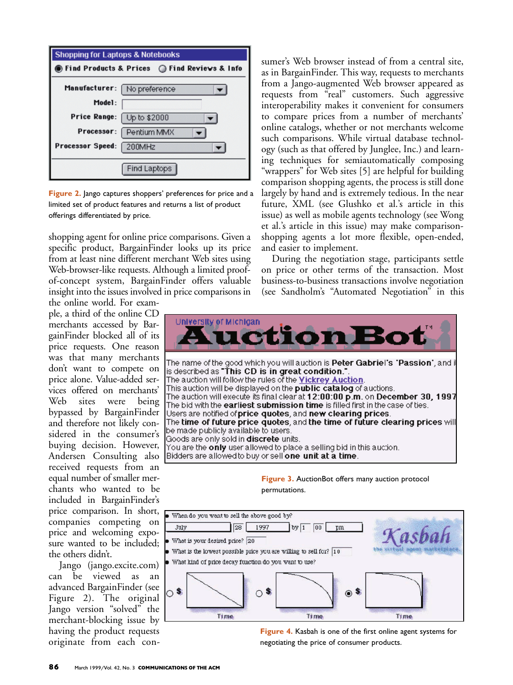

**Figure 2.** Jango captures shoppers' preferences for price and a limited set of product features and returns a list of product offerings differentiated by price.

shopping agent for online price comparisons. Given a specific product, BargainFinder looks up its price from at least nine different merchant Web sites using Web-browser-like requests. Although a limited proofof-concept system, BargainFinder offers valuable insight into the issues involved in price comparisons in

the online world. For example, a third of the online CD merchants accessed by BargainFinder blocked all of its price requests. One reason was that many merchants don't want to compete on price alone. Value-added services offered on merchants' Web sites were being bypassed by BargainFinder and therefore not likely considered in the consumer's buying decision. However, Andersen Consulting also received requests from an equal number of smaller merchants who wanted to be included in BargainFinder's price comparison. In short, companies competing on price and welcoming exposure wanted to be included; the others didn't.

Jango (jango.excite.com) can be viewed as an advanced BargainFinder (see Figure 2). The original Jango version "solved" the merchant-blocking issue by having the product requests originate from each consumer's Web browser instead of from a central site, as in BargainFinder. This way, requests to merchants from a Jango-augmented Web browser appeared as requests from "real" customers. Such aggressive interoperability makes it convenient for consumers to compare prices from a number of merchants' online catalogs, whether or not merchants welcome such comparisons. While virtual database technology (such as that offered by Junglee, Inc.) and learning techniques for semiautomatically composing "wrappers" for Web sites [5] are helpful for building comparison shopping agents, the process is still done largely by hand and is extremely tedious. In the near future, XML (see Glushko et al.'s article in this issue) as well as mobile agents technology (see Wong et al.'s article in this issue) may make comparisonshopping agents a lot more flexible, open-ended, and easier to implement.

During the negotiation stage, participants settle on price or other terms of the transaction. Most business-to-business transactions involve negotiation (see Sandholm's "Automated Negotiation" in this



**Figure 3.** AuctionBot offers many auction protocol permutations.



**Figure 4.** Kasbah is one of the first online agent systems for negotiating the price of consumer products.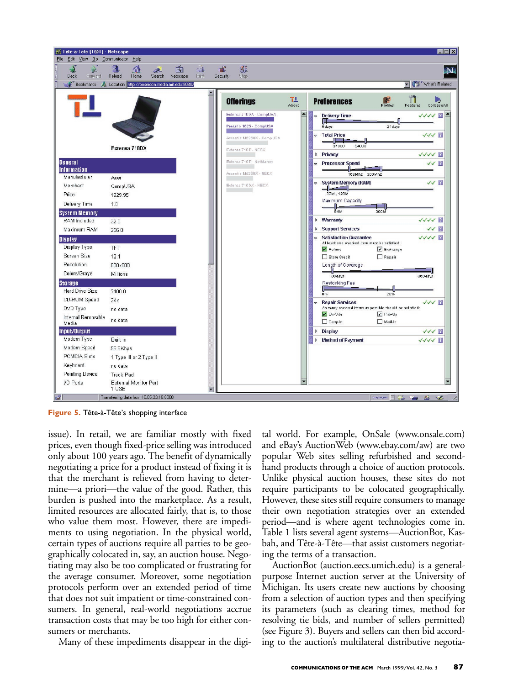

**Figure 5.** Tête-à-Tête's shopping interface

issue). In retail, we are familiar mostly with fixed prices, even though fixed-price selling was introduced only about 100 years ago. The benefit of dynamically negotiating a price for a product instead of fixing it is that the merchant is relieved from having to determine—a priori—the value of the good. Rather, this burden is pushed into the marketplace. As a result, limited resources are allocated fairly, that is, to those who value them most. However, there are impediments to using negotiation. In the physical world, certain types of auctions require all parties to be geographically colocated in, say, an auction house. Negotiating may also be too complicated or frustrating for the average consumer. Moreover, some negotiation protocols perform over an extended period of time that does not suit impatient or time-constrained consumers. In general, real-world negotiations accrue transaction costs that may be too high for either consumers or merchants.

Many of these impediments disappear in the digi-

tal world. For example, OnSale (www.onsale.com) and eBay's AuctionWeb (www.ebay.com/aw) are two popular Web sites selling refurbished and secondhand products through a choice of auction protocols. Unlike physical auction houses, these sites do not require participants to be colocated geographically. However, these sites still require consumers to manage their own negotiation strategies over an extended period—and is where agent technologies come in. Table 1 lists several agent systems—AuctionBot, Kasbah, and Tête-à-Tête—that assist customers negotiating the terms of a transaction.

AuctionBot (auction.eecs.umich.edu) is a generalpurpose Internet auction server at the University of Michigan. Its users create new auctions by choosing from a selection of auction types and then specifying its parameters (such as clearing times, method for resolving tie bids, and number of sellers permitted) (see Figure 3). Buyers and sellers can then bid according to the auction's multilateral distributive negotia-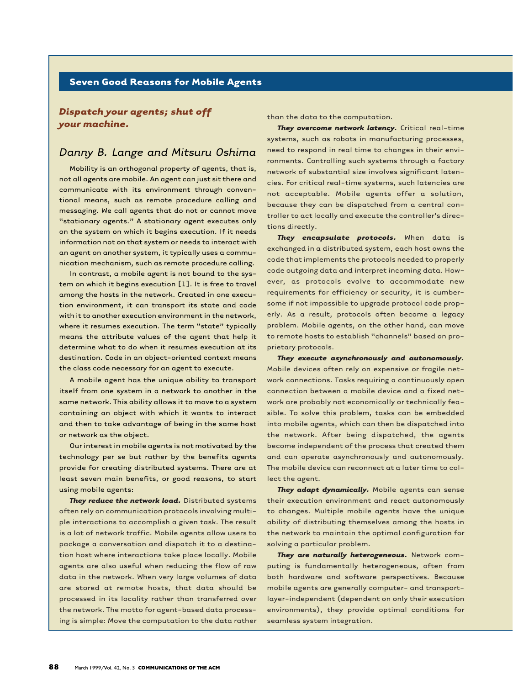#### **Seven Good Reasons for Mobile Agents**

### *Dispatch your agents; shut off your machine.*

# *Danny B. Lange and Mitsuru Oshima*

Mobility is an orthogonal property of agents, that is, not all agents are mobile. An agent can just sit there and communicate with its environment through conventional means, such as remote procedure calling and messaging. We call agents that do not or cannot move "stationary agents." A stationary agent executes only on the system on which it begins execution. If it needs information not on that system or needs to interact with an agent on another system, it typically uses a communication mechanism, such as remote procedure calling.

In contrast, a mobile agent is not bound to the system on which it begins execution [1]. It is free to travel among the hosts in the network. Created in one execution environment, it can transport its state and code with it to another execution environment in the network, where it resumes execution. The term "state" typically means the attribute values of the agent that help it determine what to do when it resumes execution at its destination. Code in an object-oriented context means the class code necessary for an agent to execute.

A mobile agent has the unique ability to transport itself from one system in a network to another in the same network. This ability allows it to move to a system containing an object with which it wants to interact and then to take advantage of being in the same host or network as the object.

Our interest in mobile agents is not motivated by the technology per se but rather by the benefits agents provide for creating distributed systems. There are at least seven main benefits, or good reasons, to start using mobile agents:

*They reduce the network load.* Distributed systems often rely on communication protocols involving multiple interactions to accomplish a given task. The result is a lot of network traffic. Mobile agents allow users to package a conversation and dispatch it to a destination host where interactions take place locally. Mobile agents are also useful when reducing the flow of raw data in the network. When very large volumes of data are stored at remote hosts, that data should be processed in its locality rather than transferred over the network. The motto for agent-based data processing is simple: Move the computation to the data rather

than the data to the computation.

*They overcome network latency.* Critical real-time systems, such as robots in manufacturing processes, need to respond in real time to changes in their environments. Controlling such systems through a factory network of substantial size involves significant latencies. For critical real-time systems, such latencies are not acceptable. Mobile agents offer a solution, because they can be dispatched from a central controller to act locally and execute the controller's directions directly.

*They encapsulate protocols.* When data is exchanged in a distributed system, each host owns the code that implements the protocols needed to properly code outgoing data and interpret incoming data. However, as protocols evolve to accommodate new requirements for efficiency or security, it is cumbersome if not impossible to upgrade protocol code properly. As a result, protocols often become a legacy problem. Mobile agents, on the other hand, can move to remote hosts to establish "channels" based on proprietary protocols.

*They execute asynchronously and autonomously.* Mobile devices often rely on expensive or fragile network connections. Tasks requiring a continuously open connection between a mobile device and a fixed network are probably not economically or technically feasible. To solve this problem, tasks can be embedded into mobile agents, which can then be dispatched into the network. After being dispatched, the agents become independent of the process that created them and can operate asynchronously and autonomously. The mobile device can reconnect at a later time to collect the agent.

*They adapt dynamically.* Mobile agents can sense their execution environment and react autonomously to changes. Multiple mobile agents have the unique ability of distributing themselves among the hosts in the network to maintain the optimal configuration for solving a particular problem.

*They are naturally heterogeneous.* Network computing is fundamentally heterogeneous, often from both hardware and software perspectives. Because mobile agents are generally computer- and transportlayer-independent (dependent on only their execution environments), they provide optimal conditions for seamless system integration.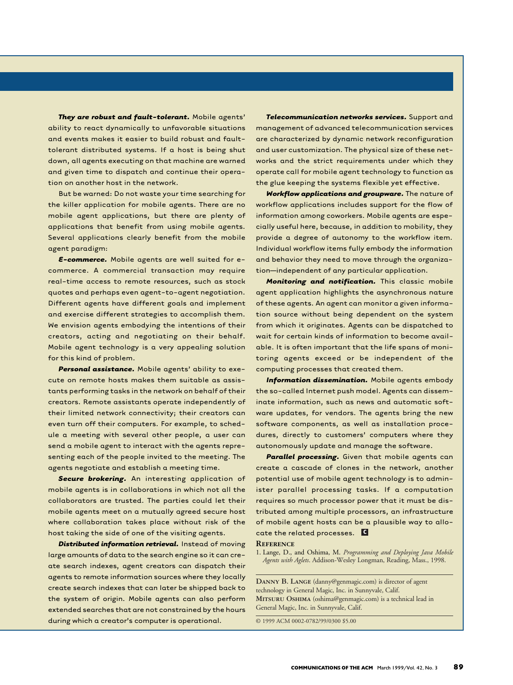*They are robust and fault-tolerant.* Mobile agents' ability to react dynamically to unfavorable situations and events makes it easier to build robust and faulttolerant distributed systems. If a host is being shut down, all agents executing on that machine are warned and given time to dispatch and continue their operation on another host in the network.

But be warned: Do not waste your time searching for the killer application for mobile agents. There are no mobile agent applications, but there are plenty of applications that benefit from using mobile agents. Several applications clearly benefit from the mobile agent paradigm:

*E-commerce.* Mobile agents are well suited for ecommerce. A commercial transaction may require real-time access to remote resources, such as stock quotes and perhaps even agent-to-agent negotiation. Different agents have different goals and implement and exercise different strategies to accomplish them. We envision agents embodying the intentions of their creators, acting and negotiating on their behalf. Mobile agent technology is a very appealing solution for this kind of problem.

*Personal assistance.* Mobile agents' ability to execute on remote hosts makes them suitable as assistants performing tasks in the network on behalf of their creators. Remote assistants operate independently of their limited network connectivity; their creators can even turn off their computers. For example, to schedule a meeting with several other people, a user can send a mobile agent to interact with the agents representing each of the people invited to the meeting. The agents negotiate and establish a meeting time.

*Secure brokering.* An interesting application of mobile agents is in collaborations in which not all the collaborators are trusted. The parties could let their mobile agents meet on a mutually agreed secure host where collaboration takes place without risk of the host taking the side of one of the visiting agents.

*Distributed information retrieval.* Instead of moving large amounts of data to the search engine so it can create search indexes, agent creators can dispatch their agents to remote information sources where they locally create search indexes that can later be shipped back to the system of origin. Mobile agents can also perform extended searches that are not constrained by the hours during which a creator's computer is operational.

*Telecommunication networks services.* Support and management of advanced telecommunication services are characterized by dynamic network reconfiguration and user customization. The physical size of these networks and the strict requirements under which they operate call for mobile agent technology to function as the glue keeping the systems flexible yet effective.

*Workflow applications and groupware.* The nature of workflow applications includes support for the flow of information among coworkers. Mobile agents are especially useful here, because, in addition to mobility, they provide a degree of autonomy to the workflow item. Individual workflow items fully embody the information and behavior they need to move through the organization—independent of any particular application.

*Monitoring and notification.* This classic mobile agent application highlights the asynchronous nature of these agents. An agent can monitor a given information source without being dependent on the system from which it originates. Agents can be dispatched to wait for certain kinds of information to become available. It is often important that the life spans of monitoring agents exceed or be independent of the computing processes that created them.

*Information dissemination.* Mobile agents embody the so-called Internet push model. Agents can disseminate information, such as news and automatic software updates, for vendors. The agents bring the new software components, as well as installation procedures, directly to customers' computers where they autonomously update and manage the software.

*Parallel processing.* Given that mobile agents can create a cascade of clones in the network, another potential use of mobile agent technology is to administer parallel processing tasks. If a computation requires so much processor power that it must be distributed among multiple processors, an infrastructure of mobile agent hosts can be a plausible way to allocate the related processes. **c**

#### **Reference**

1. Lange, D., and Oshima, M. *Programming and Deploying Java Mobile Agents with Aglets*. Addison-Wesley Longman, Reading, Mass., 1998.

**Danny B. Lange** (danny@genmagic.com) is director of agent technology in General Magic, Inc. in Sunnyvale, Calif. MITSURU OSHIMA (oshima@genmagic.com) is a technical lead in General Magic, Inc. in Sunnyvale, Calif.

© 1999 ACM 0002-0782/99/0300 \$5.00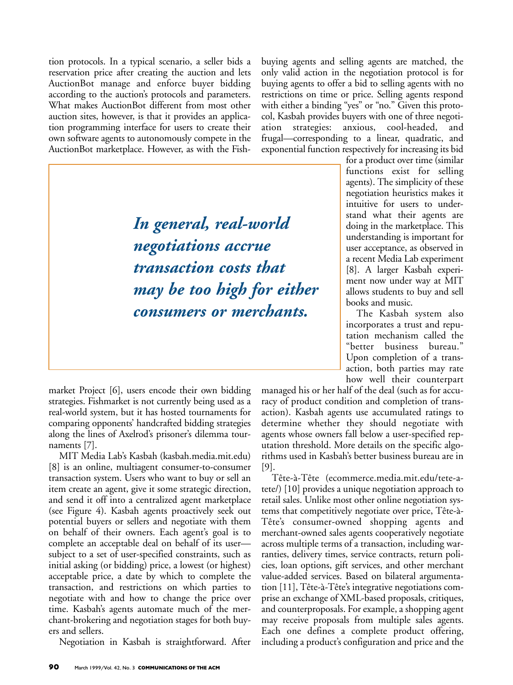tion protocols. In a typical scenario, a seller bids a reservation price after creating the auction and lets AuctionBot manage and enforce buyer bidding according to the auction's protocols and parameters. What makes AuctionBot different from most other auction sites, however, is that it provides an application programming interface for users to create their own software agents to autonomously compete in the AuctionBot marketplace. However, as with the Fishbuying agents and selling agents are matched, the only valid action in the negotiation protocol is for buying agents to offer a bid to selling agents with no restrictions on time or price. Selling agents respond with either a binding "yes" or "no." Given this protocol, Kasbah provides buyers with one of three negotiation strategies: anxious, cool-headed, and frugal—corresponding to a linear, quadratic, and exponential function respectively for increasing its bid

*In general, real-world negotiations accrue transaction costs that may be too high for either consumers or merchants.*

for a product over time (similar functions exist for selling agents). The simplicity of these negotiation heuristics makes it intuitive for users to understand what their agents are doing in the marketplace. This understanding is important for user acceptance, as observed in a recent Media Lab experiment [8]. A larger Kasbah experiment now under way at MIT allows students to buy and sell books and music.

The Kasbah system also incorporates a trust and reputation mechanism called the "better business bureau." Upon completion of a transaction, both parties may rate how well their counterpart

market Project [6], users encode their own bidding strategies. Fishmarket is not currently being used as a real-world system, but it has hosted tournaments for comparing opponents' handcrafted bidding strategies along the lines of Axelrod's prisoner's dilemma tournaments [7].

MIT Media Lab's Kasbah (kasbah.media.mit.edu) [8] is an online, multiagent consumer-to-consumer transaction system. Users who want to buy or sell an item create an agent, give it some strategic direction, and send it off into a centralized agent marketplace (see Figure 4). Kasbah agents proactively seek out potential buyers or sellers and negotiate with them on behalf of their owners. Each agent's goal is to complete an acceptable deal on behalf of its user subject to a set of user-specified constraints, such as initial asking (or bidding) price, a lowest (or highest) acceptable price, a date by which to complete the transaction, and restrictions on which parties to negotiate with and how to change the price over time. Kasbah's agents automate much of the merchant-brokering and negotiation stages for both buyers and sellers.

Negotiation in Kasbah is straightforward. After

managed his or her half of the deal (such as for accuracy of product condition and completion of transaction). Kasbah agents use accumulated ratings to determine whether they should negotiate with agents whose owners fall below a user-specified reputation threshold. More details on the specific algorithms used in Kasbah's better business bureau are in [9].

Tête-à-Tête (ecommerce.media.mit.edu/tete-atete/) [10] provides a unique negotiation approach to retail sales. Unlike most other online negotiation systems that competitively negotiate over price, Tête-à-Tête's consumer-owned shopping agents and merchant-owned sales agents cooperatively negotiate across multiple terms of a transaction, including warranties, delivery times, service contracts, return policies, loan options, gift services, and other merchant value-added services. Based on bilateral argumentation [11], Tête-à-Tête's integrative negotiations comprise an exchange of XML-based proposals, critiques, and counterproposals. For example, a shopping agent may receive proposals from multiple sales agents. Each one defines a complete product offering, including a product's configuration and price and the